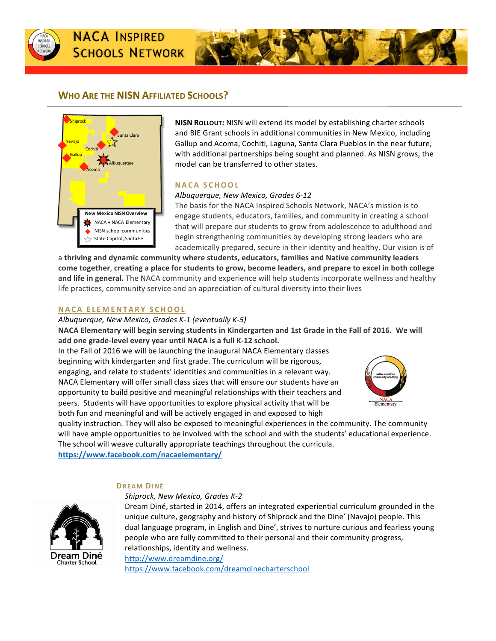



# **WHO ARE THE NISN AFFILIATED SCHOOLS?**



**NISN ROLLOUT:** NISN will extend its model by establishing charter schools and BIE Grant schools in additional communities in New Mexico, including Gallup and Acoma, Cochiti, Laguna, Santa Clara Pueblos in the near future, with additional partnerships being sought and planned. As NISN grows, the model can be transferred to other states.

### **NACA SCHOOL**

### *Albuquerque, New Mexico, Grades 6-12*

The basis for the NACA Inspired Schools Network, NACA's mission is to engage students, educators, families, and community in creating a school that will prepare our students to grow from adolescence to adulthood and begin strengthening communities by developing strong leaders who are academically prepared, secure in their identity and healthy. Our vision is of

a thriving and dynamic community where students, educators, families and Native community leaders come together, creating a place for students to grow, become leaders, and prepare to excel in both college and life in general. The NACA community and experience will help students incorporate wellness and healthy life practices, community service and an appreciation of cultural diversity into their lives

# **NACA ELEM ENTARY SCHOOL**

*Albuquerque, New Mexico, Grades K-1 (eventually K-5)*

**NACA Elementary will begin serving students in Kindergarten and 1st Grade in the Fall of 2016. We will** add one grade-level every year until NACA is a full K-12 school.

In the Fall of 2016 we will be launching the inaugural NACA Elementary classes beginning with kindergarten and first grade. The curriculum will be rigorous, engaging, and relate to students' identities and communities in a relevant way. NACA Elementary will offer small class sizes that will ensure our students have an opportunity to build positive and meaningful relationships with their teachers and peers. Students will have opportunities to explore physical activity that will be both fun and meaningful and will be actively engaged in and exposed to high



quality instruction. They will also be exposed to meaningful experiences in the community. The community will have ample opportunities to be involved with the school and with the students' educational experience. The school will weave culturally appropriate teachings throughout the curricula.

**https://www.facebook.com/nacaelementary/**

### **DREAM DINÉ**

Dream Diné Charter School

*Shiprock, New Mexico, Grades K-2*

Dream Diné, started in 2014, offers an integrated experiential curriculum grounded in the unique culture, geography and history of Shiprock and the Dine' (Navajo) people. This dual language program, in English and Dine', strives to nurture curious and fearless young people who are fully committed to their personal and their community progress, relationships, identity and wellness. http://www.dreamdine.org/

https://www.facebook.com/dreamdinecharterschool